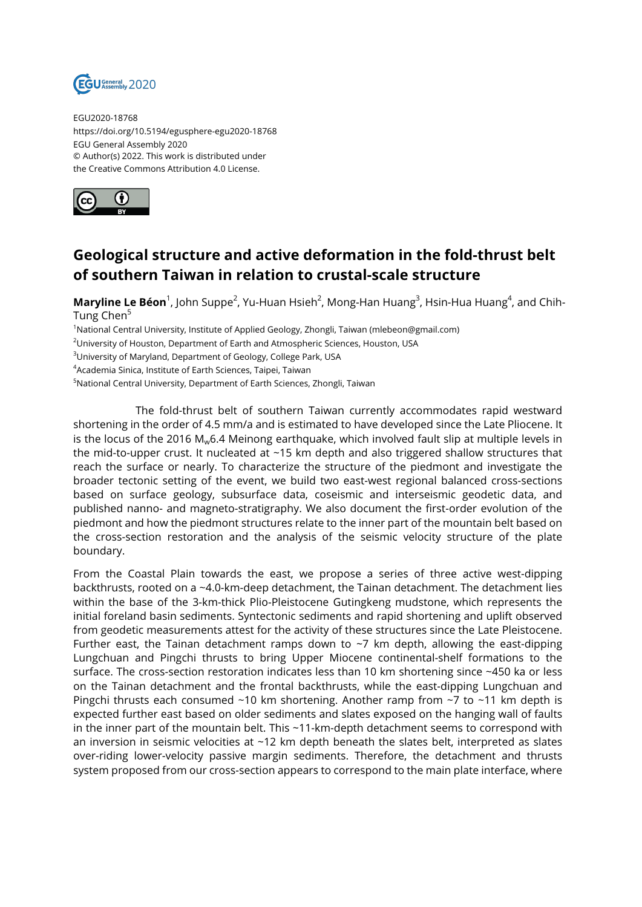

EGU2020-18768 https://doi.org/10.5194/egusphere-egu2020-18768 EGU General Assembly 2020 © Author(s) 2022. This work is distributed under the Creative Commons Attribution 4.0 License.



## **Geological structure and active deformation in the fold-thrust belt of southern Taiwan in relation to crustal-scale structure**

**Maryline Le Béon**<sup>1</sup>, John Suppe<sup>2</sup>, Yu-Huan Hsieh<sup>2</sup>, Mong-Han Huang<sup>3</sup>, Hsin-Hua Huang<sup>4</sup>, and Chih-Tung Chen<sup>5</sup>

<sup>1</sup>National Central University, Institute of Applied Geology, Zhongli, Taiwan (mlebeon@gmail.com)

<sup>2</sup>University of Houston, Department of Earth and Atmospheric Sciences, Houston, USA

<sup>3</sup>University of Maryland, Department of Geology, College Park, USA

<sup>4</sup>Academia Sinica, Institute of Earth Sciences, Taipei, Taiwan

<sup>5</sup>National Central University, Department of Earth Sciences, Zhongli, Taiwan

The fold-thrust belt of southern Taiwan currently accommodates rapid westward shortening in the order of 4.5 mm/a and is estimated to have developed since the Late Pliocene. It is the locus of the 2016  $M_w$ 6.4 Meinong earthquake, which involved fault slip at multiple levels in the mid-to-upper crust. It nucleated at ~15 km depth and also triggered shallow structures that reach the surface or nearly. To characterize the structure of the piedmont and investigate the broader tectonic setting of the event, we build two east-west regional balanced cross-sections based on surface geology, subsurface data, coseismic and interseismic geodetic data, and published nanno- and magneto-stratigraphy. We also document the first-order evolution of the piedmont and how the piedmont structures relate to the inner part of the mountain belt based on the cross-section restoration and the analysis of the seismic velocity structure of the plate boundary.

From the Coastal Plain towards the east, we propose a series of three active west-dipping backthrusts, rooted on a ~4.0-km-deep detachment, the Tainan detachment. The detachment lies within the base of the 3-km-thick Plio-Pleistocene Gutingkeng mudstone, which represents the initial foreland basin sediments. Syntectonic sediments and rapid shortening and uplift observed from geodetic measurements attest for the activity of these structures since the Late Pleistocene. Further east, the Tainan detachment ramps down to  $\sim$ 7 km depth, allowing the east-dipping Lungchuan and Pingchi thrusts to bring Upper Miocene continental-shelf formations to the surface. The cross-section restoration indicates less than 10 km shortening since ~450 ka or less on the Tainan detachment and the frontal backthrusts, while the east-dipping Lungchuan and Pingchi thrusts each consumed ~10 km shortening. Another ramp from ~7 to ~11 km depth is expected further east based on older sediments and slates exposed on the hanging wall of faults in the inner part of the mountain belt. This ~11-km-depth detachment seems to correspond with an inversion in seismic velocities at  $~12$  km depth beneath the slates belt, interpreted as slates over-riding lower-velocity passive margin sediments. Therefore, the detachment and thrusts system proposed from our cross-section appears to correspond to the main plate interface, where